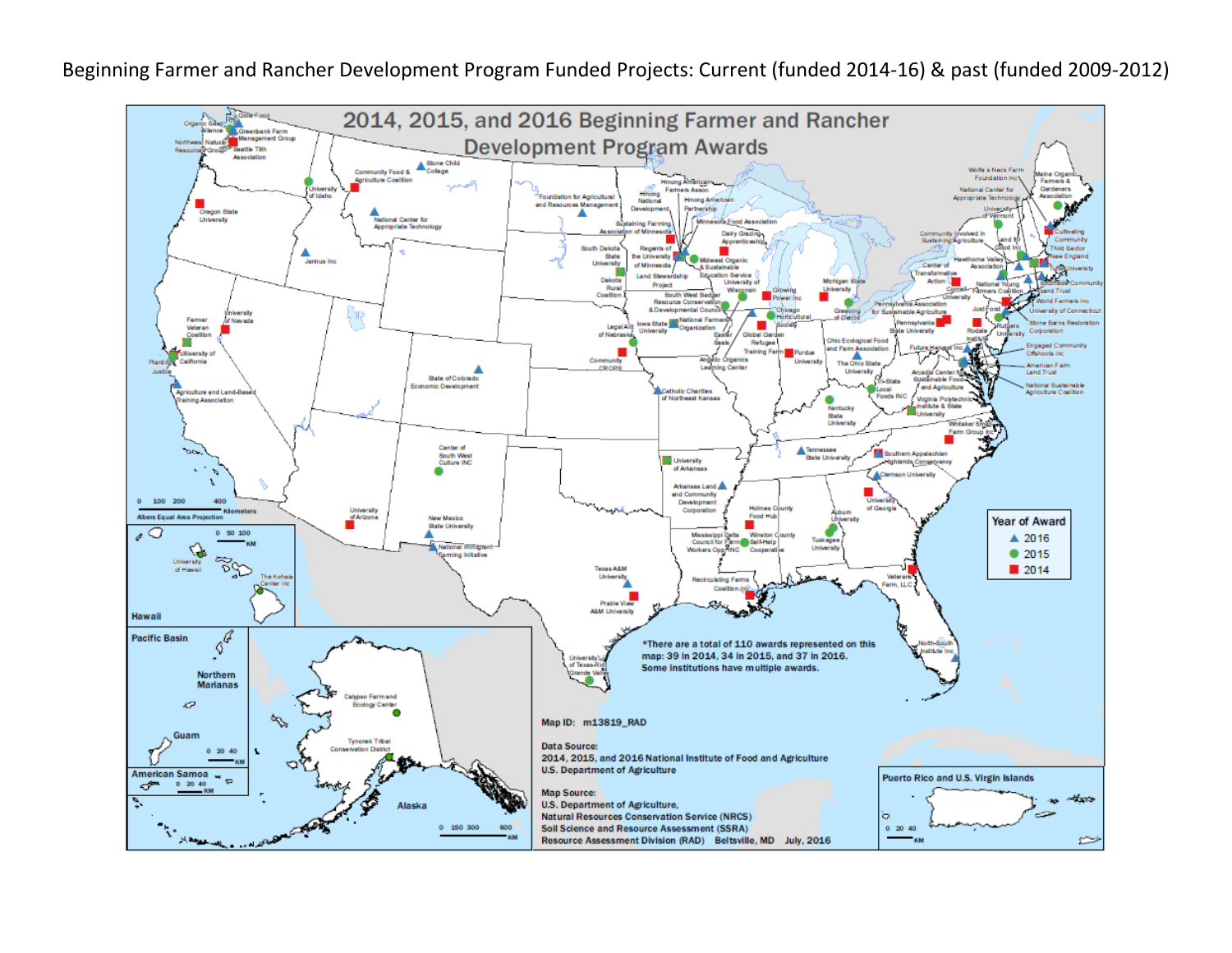Beginning Farmer and Rancher Development Program Funded Projects: Current (funded 2014-16) & past (funded 2009-2012)

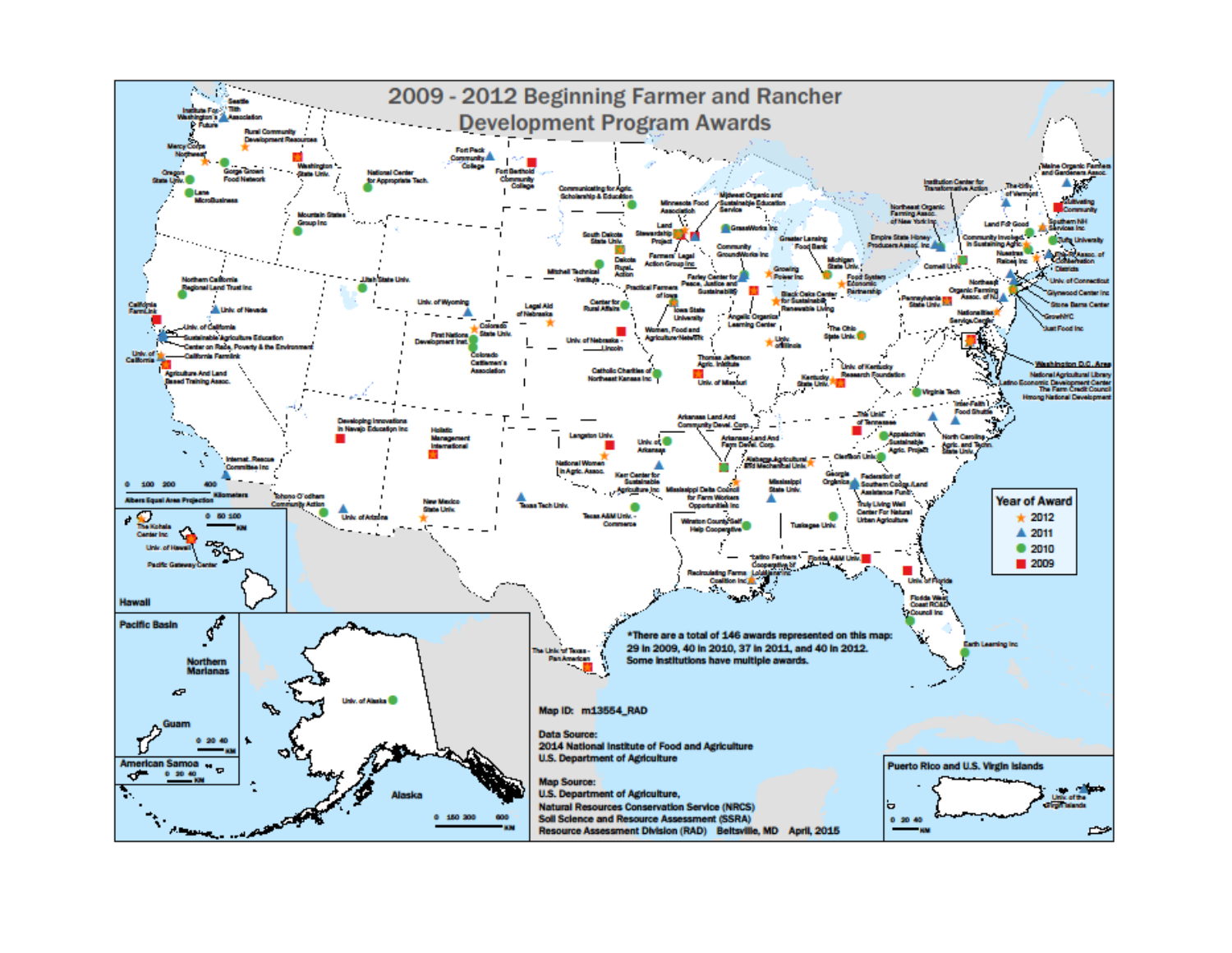